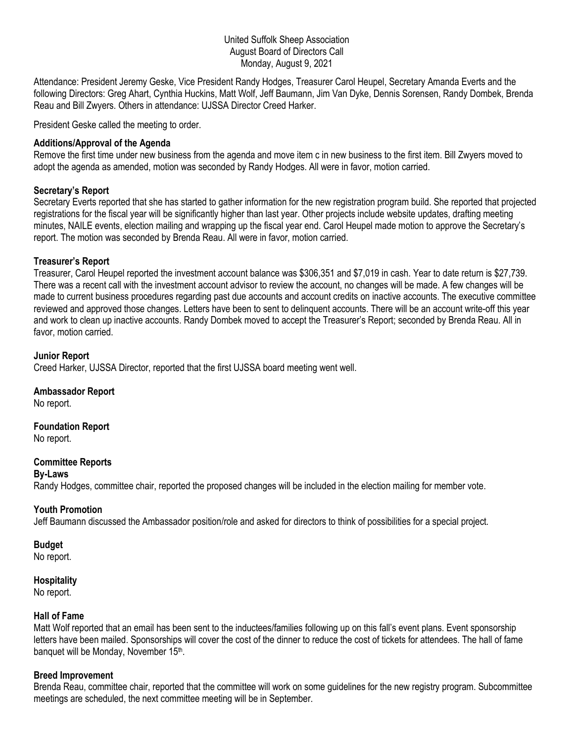### United Suffolk Sheep Association August Board of Directors Call Monday, August 9, 2021

Attendance: President Jeremy Geske, Vice President Randy Hodges, Treasurer Carol Heupel, Secretary Amanda Everts and the following Directors: Greg Ahart, Cynthia Huckins, Matt Wolf, Jeff Baumann, Jim Van Dyke, Dennis Sorensen, Randy Dombek, Brenda Reau and Bill Zwyers. Others in attendance: UJSSA Director Creed Harker.

President Geske called the meeting to order.

### **Additions/Approval of the Agenda**

Remove the first time under new business from the agenda and move item c in new business to the first item. Bill Zwyers moved to adopt the agenda as amended, motion was seconded by Randy Hodges. All were in favor, motion carried.

## **Secretary's Report**

Secretary Everts reported that she has started to gather information for the new registration program build. She reported that projected registrations for the fiscal year will be significantly higher than last year. Other projects include website updates, drafting meeting minutes, NAILE events, election mailing and wrapping up the fiscal year end. Carol Heupel made motion to approve the Secretary's report. The motion was seconded by Brenda Reau. All were in favor, motion carried.

## **Treasurer's Report**

Treasurer, Carol Heupel reported the investment account balance was \$306,351 and \$7,019 in cash. Year to date return is \$27,739. There was a recent call with the investment account advisor to review the account, no changes will be made. A few changes will be made to current business procedures regarding past due accounts and account credits on inactive accounts. The executive committee reviewed and approved those changes. Letters have been to sent to delinquent accounts. There will be an account write-off this year and work to clean up inactive accounts. Randy Dombek moved to accept the Treasurer's Report; seconded by Brenda Reau. All in favor, motion carried.

#### **Junior Report**

Creed Harker, UJSSA Director, reported that the first UJSSA board meeting went well.

#### **Ambassador Report**

No report.

# **Foundation Report**

No report.

## **Committee Reports**

#### **By-Laws**

Randy Hodges, committee chair, reported the proposed changes will be included in the election mailing for member vote.

#### **Youth Promotion**

Jeff Baumann discussed the Ambassador position/role and asked for directors to think of possibilities for a special project.

#### **Budget**

No report.

#### **Hospitality**

No report.

#### **Hall of Fame**

Matt Wolf reported that an email has been sent to the inductees/families following up on this fall's event plans. Event sponsorship letters have been mailed. Sponsorships will cover the cost of the dinner to reduce the cost of tickets for attendees. The hall of fame banquet will be Monday, November 15th.

#### **Breed Improvement**

Brenda Reau, committee chair, reported that the committee will work on some guidelines for the new registry program. Subcommittee meetings are scheduled, the next committee meeting will be in September.